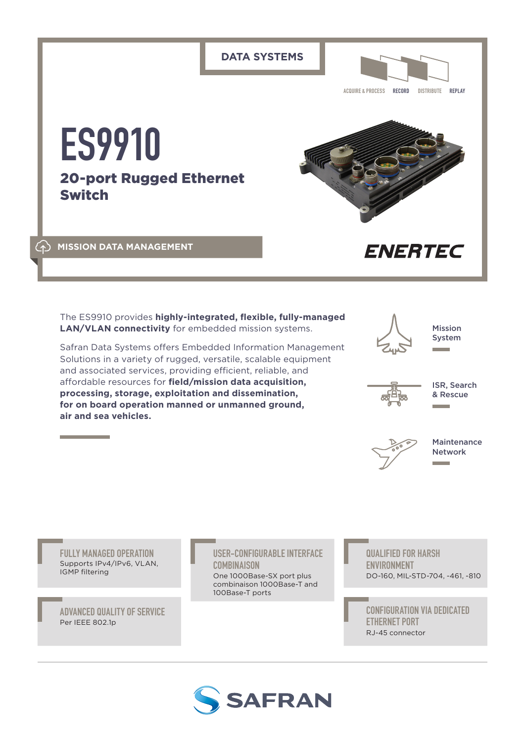